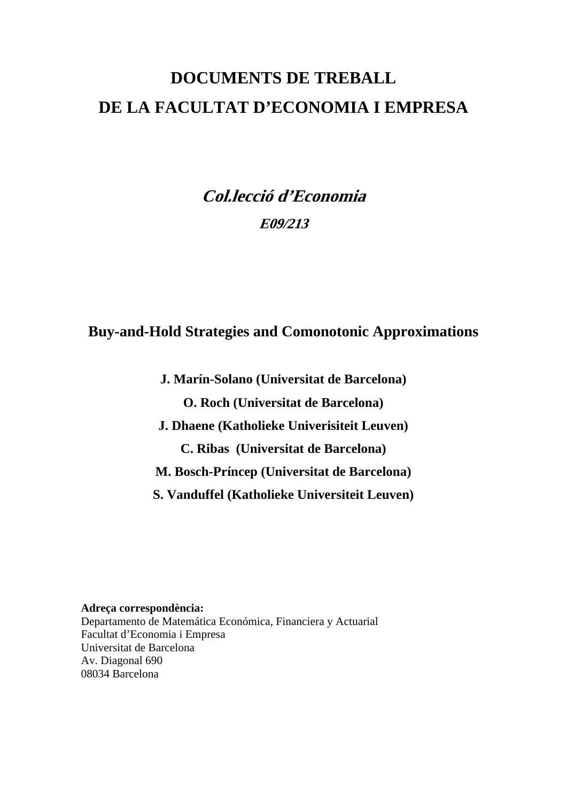# **DOCUMENTS DE TREBALL DE LA FACULTAT D'ECONOMIA I EMPRESA**

**Col.lecció d'Economia E09/213** 

**Buy-and-Hold Strategies and Comonotonic Approximations** 

**J. Marín-Solano (Universitat de Barcelona) O. Roch (Universitat de Barcelona) J. Dhaene (Katholieke Univerisiteit Leuven) C. Ribas (Universitat de Barcelona) M. Bosch-Príncep (Universitat de Barcelona) S. Vanduffel (Katholieke Universiteit Leuven)** 

**Adreça correspondència:**  Departamento de Matemática Económica, Financiera y Actuarial Facultat d'Economia i Empresa Universitat de Barcelona Av. Diagonal 690 08034 Barcelona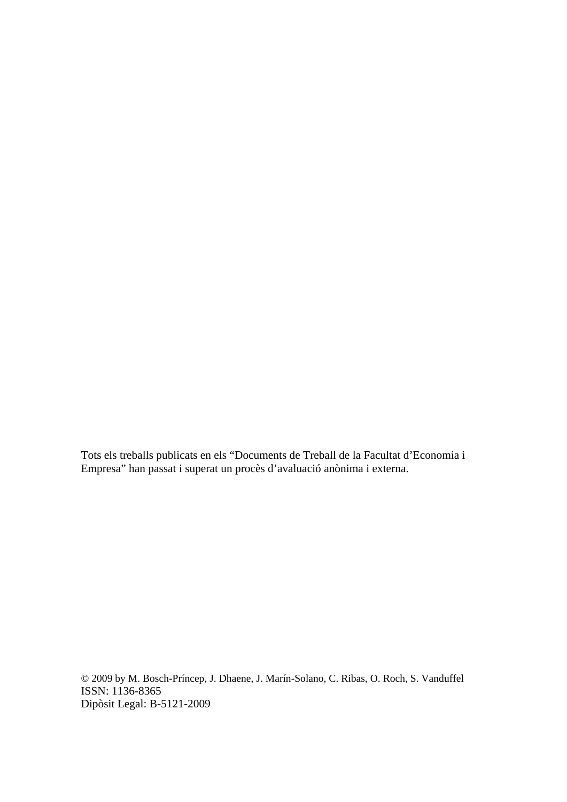Tots els treballs publicats en els "Documents de Treball de la Facultat d'Economia i Empresa" han passat i superat un procès d'avaluació anònima i externa.

© 2009 by M. Bosch-Príncep, J. Dhaene, J. Marín-Solano, C. Ribas, O. Roch, S. Vanduffel ISSN: 1136-8365 Dipòsit Legal: B-5121-2009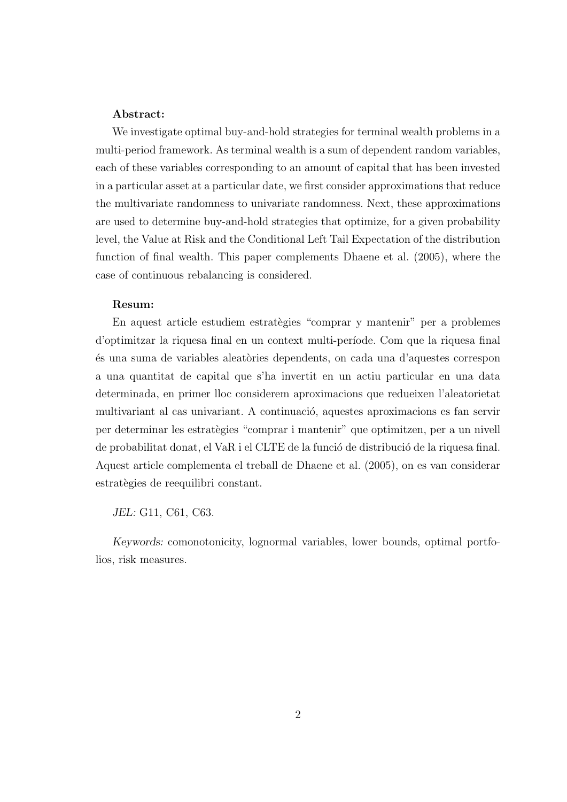#### Abstract:

We investigate optimal buy-and-hold strategies for terminal wealth problems in a multi-period framework. As terminal wealth is a sum of dependent random variables, each of these variables corresponding to an amount of capital that has been invested in a particular asset at a particular date, we first consider approximations that reduce the multivariate randomness to univariate randomness. Next, these approximations are used to determine buy-and-hold strategies that optimize, for a given probability level, the Value at Risk and the Conditional Left Tail Expectation of the distribution function of final wealth. This paper complements Dhaene et al. (2005), where the case of continuous rebalancing is considered.

#### Resum:

En aquest article estudiem estratègies "comprar y mantenir" per a problemes d'optimitzar la riquesa final en un context multi-per´ıode. Com que la riquesa final ´es una suma de variables aleat`ories dependents, on cada una d'aquestes correspon a una quantitat de capital que s'ha invertit en un actiu particular en una data determinada, en primer lloc considerem aproximacions que redueixen l'aleatorietat multivariant al cas univariant. A continuació, aquestes aproximacions es fan servir per determinar les estrat`egies "comprar i mantenir" que optimitzen, per a un nivell de probabilitat donat, el VaR i el CLTE de la funció de distribució de la riquesa final. Aquest article complementa el treball de Dhaene et al. (2005), on es van considerar estratègies de reequilibri constant.

JEL: G11, C61, C63.

Keywords: comonotonicity, lognormal variables, lower bounds, optimal portfolios, risk measures.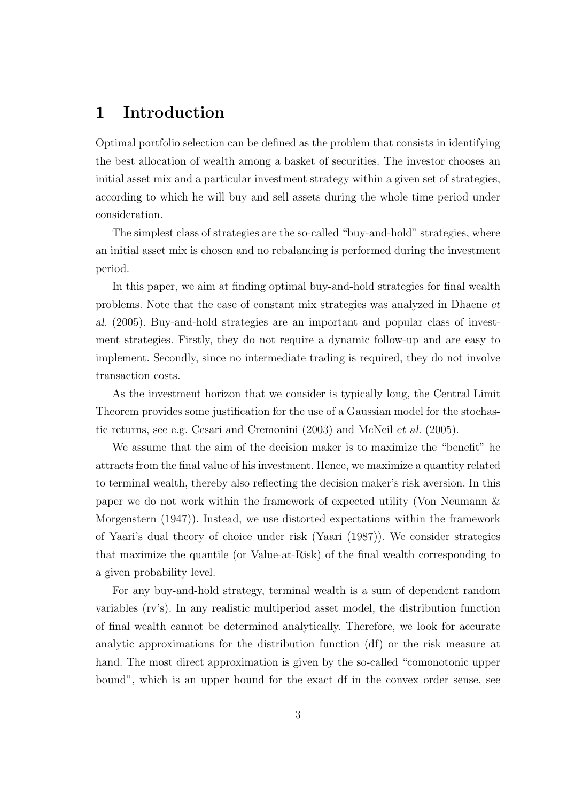## 1 Introduction

Optimal portfolio selection can be defined as the problem that consists in identifying the best allocation of wealth among a basket of securities. The investor chooses an initial asset mix and a particular investment strategy within a given set of strategies, according to which he will buy and sell assets during the whole time period under consideration.

The simplest class of strategies are the so-called "buy-and-hold" strategies, where an initial asset mix is chosen and no rebalancing is performed during the investment period.

In this paper, we aim at finding optimal buy-and-hold strategies for final wealth problems. Note that the case of constant mix strategies was analyzed in Dhaene et al. (2005). Buy-and-hold strategies are an important and popular class of investment strategies. Firstly, they do not require a dynamic follow-up and are easy to implement. Secondly, since no intermediate trading is required, they do not involve transaction costs.

As the investment horizon that we consider is typically long, the Central Limit Theorem provides some justification for the use of a Gaussian model for the stochastic returns, see e.g. Cesari and Cremonini (2003) and McNeil et al. (2005).

We assume that the aim of the decision maker is to maximize the "benefit" he attracts from the final value of his investment. Hence, we maximize a quantity related to terminal wealth, thereby also reflecting the decision maker's risk aversion. In this paper we do not work within the framework of expected utility (Von Neumann & Morgenstern (1947)). Instead, we use distorted expectations within the framework of Yaari's dual theory of choice under risk (Yaari (1987)). We consider strategies that maximize the quantile (or Value-at-Risk) of the final wealth corresponding to a given probability level.

For any buy-and-hold strategy, terminal wealth is a sum of dependent random variables (rv's). In any realistic multiperiod asset model, the distribution function of final wealth cannot be determined analytically. Therefore, we look for accurate analytic approximations for the distribution function (df) or the risk measure at hand. The most direct approximation is given by the so-called "comonotonic upper bound", which is an upper bound for the exact df in the convex order sense, see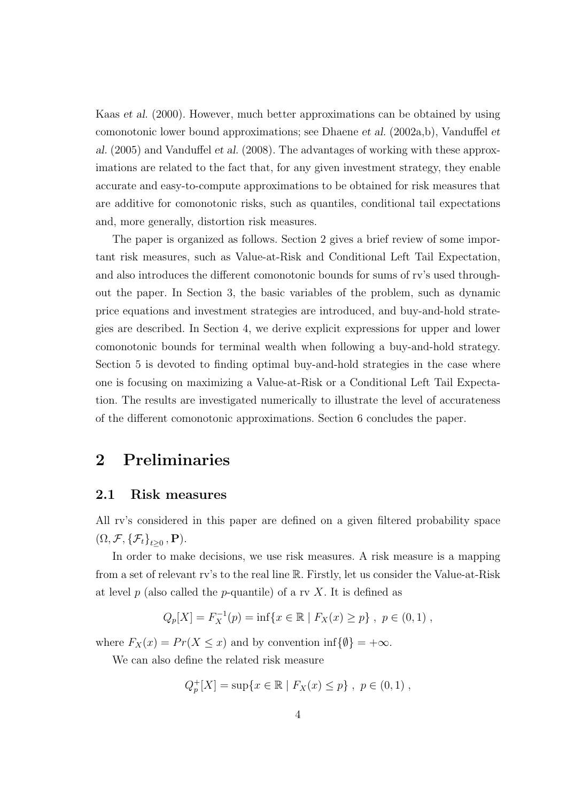Kaas et al. (2000). However, much better approximations can be obtained by using comonotonic lower bound approximations; see Dhaene *et al.* (2002a,b), Vanduffel *et* al. (2005) and Vanduffel et al. (2008). The advantages of working with these approximations are related to the fact that, for any given investment strategy, they enable accurate and easy-to-compute approximations to be obtained for risk measures that are additive for comonotonic risks, such as quantiles, conditional tail expectations and, more generally, distortion risk measures.

The paper is organized as follows. Section 2 gives a brief review of some important risk measures, such as Value-at-Risk and Conditional Left Tail Expectation, and also introduces the different comonotonic bounds for sums of rv's used throughout the paper. In Section 3, the basic variables of the problem, such as dynamic price equations and investment strategies are introduced, and buy-and-hold strategies are described. In Section 4, we derive explicit expressions for upper and lower comonotonic bounds for terminal wealth when following a buy-and-hold strategy. Section 5 is devoted to finding optimal buy-and-hold strategies in the case where one is focusing on maximizing a Value-at-Risk or a Conditional Left Tail Expectation. The results are investigated numerically to illustrate the level of accurateness of the different comonotonic approximations. Section 6 concludes the paper.

## 2 Preliminaries

#### 2.1 Risk measures

All rv's considered in this paper are defined on a given filtered probability space  $(\Omega, \mathcal{F}, {\{\mathcal{F}_t\}}_{t\geq 0}, \mathbf{P}).$ 

In order to make decisions, we use risk measures. A risk measure is a mapping from a set of relevant rv's to the real line R. Firstly, let us consider the Value-at-Risk at level p (also called the p-quantile) of a rv X. It is defined as

$$
Q_p[X] = F_X^{-1}(p) = \inf\{x \in \mathbb{R} \mid F_X(x) \ge p\}, \ p \in (0,1) ,
$$

where  $F_X(x) = Pr(X \le x)$  and by convention inf $\{\emptyset\} = +\infty$ .

We can also define the related risk measure

$$
Q_p^+[X] = \sup\{x \in \mathbb{R} \mid F_X(x) \le p\}, \ p \in (0,1) ,
$$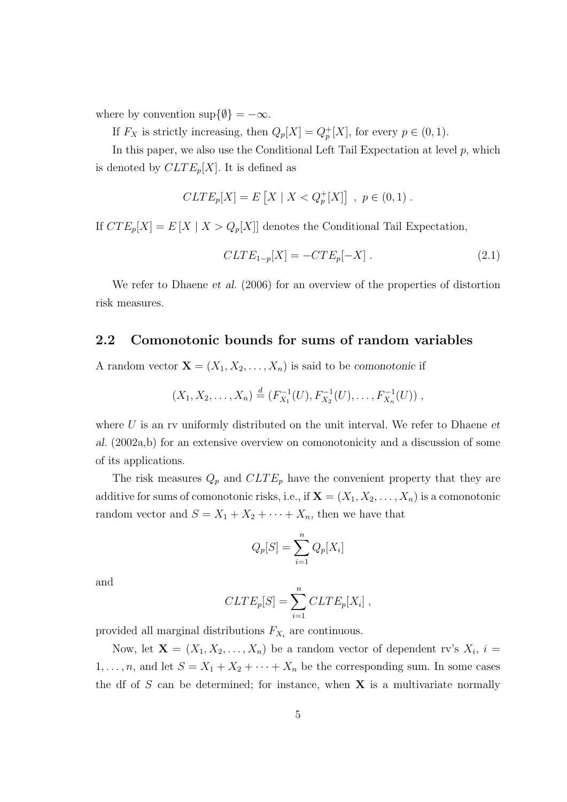where by convention  $\sup\{\emptyset\} = -\infty$ .

If  $F_X$  is strictly increasing, then  $Q_p[X] = Q_p^+[X]$ , for every  $p \in (0,1)$ .

In this paper, we also use the Conditional Left Tail Expectation at level  $p$ , which is denoted by  $CLTE_p[X]$ . It is defined as

$$
CLTE_p[X] = E[X \mid X < Q_p^+[X]] , p \in (0,1) .
$$

If  $CTE_p[X] = E[X \mid X > Q_p[X]]$  denotes the Conditional Tail Expectation,

$$
CLTE_{1-p}[X] = -CTE_p[-X]. \qquad (2.1)
$$

We refer to Dhaene *et al.* (2006) for an overview of the properties of distortion risk measures.

#### 2.2 Comonotonic bounds for sums of random variables

A random vector  $\mathbf{X} = (X_1, X_2, \dots, X_n)$  is said to be comonotonic if

$$
(X_1, X_2, \ldots, X_n) \stackrel{d}{=} (F_{X_1}^{-1}(U), F_{X_2}^{-1}(U), \ldots, F_{X_n}^{-1}(U)),
$$

where  $U$  is an rv uniformly distributed on the unit interval. We refer to Dhaene  $et$ al. (2002a,b) for an extensive overview on comonotonicity and a discussion of some of its applications.

The risk measures  $Q_p$  and  $CLTE_p$  have the convenient property that they are additive for sums of comonotonic risks, i.e., if  $\mathbf{X} = (X_1, X_2, \dots, X_n)$  is a comonotonic random vector and  $S = X_1 + X_2 + \cdots + X_n$ , then we have that

$$
Q_p[S] = \sum_{i=1}^n Q_p[X_i]
$$

and

$$
CLTE_p[S] = \sum_{i=1}^{n} CLTE_p[X_i],
$$

provided all marginal distributions  $F_{X_i}$  are continuous.

Now, let  $\mathbf{X} = (X_1, X_2, \dots, X_n)$  be a random vector of dependent rv's  $X_i$ ,  $i =$  $1, \ldots, n$ , and let  $S = X_1 + X_2 + \cdots + X_n$  be the corresponding sum. In some cases the df of  $S$  can be determined; for instance, when  $X$  is a multivariate normally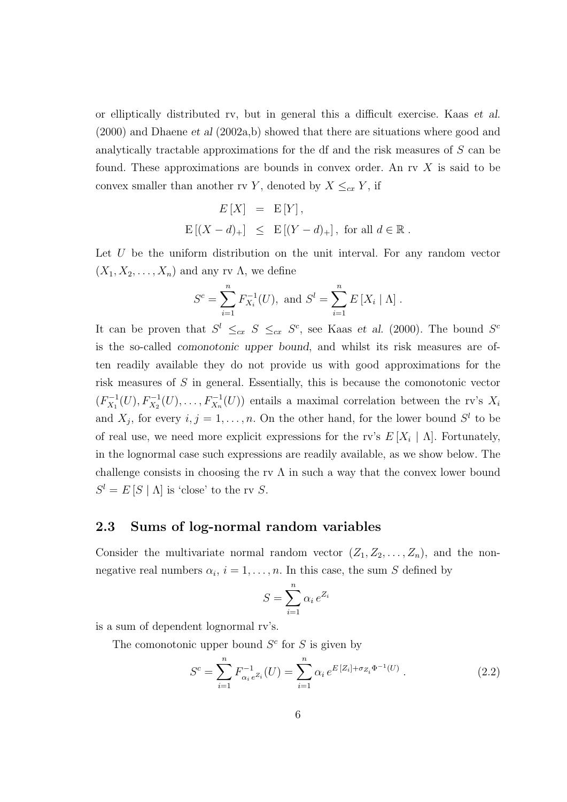or elliptically distributed rv, but in general this a difficult exercise. Kaas et al.  $(2000)$  and Dhaene et al  $(2002a,b)$  showed that there are situations where good and analytically tractable approximations for the df and the risk measures of S can be found. These approximations are bounds in convex order. An rv X is said to be convex smaller than another rv Y, denoted by  $X \leq_{cx} Y$ , if

$$
E[X] = E[Y],
$$
  
 
$$
E[(X-d)_+] \leq E[(Y-d)_+], \text{ for all } d \in \mathbb{R}.
$$

Let  $U$  be the uniform distribution on the unit interval. For any random vector  $(X_1, X_2, \ldots, X_n)$  and any rv  $\Lambda$ , we define

$$
S^{c} = \sum_{i=1}^{n} F_{X_{i}}^{-1}(U), \text{ and } S^{l} = \sum_{i=1}^{n} E[X_{i} | \Lambda].
$$

It can be proven that  $S^l \leq_{cx} S \leq_{cx} S^c$ , see Kaas *et al.* (2000). The bound  $S^c$ is the so-called comonotonic upper bound, and whilst its risk measures are often readily available they do not provide us with good approximations for the risk measures of S in general. Essentially, this is because the comonotonic vector  $(F_{X_1}^{-1})$  $X_1^{-1}(U), F_{X_2}^{-1}(U), \ldots, F_{X_n}^{-1}(U)$  entails a maximal correlation between the rv's  $X_i$ and  $X_j$ , for every  $i, j = 1, \ldots, n$ . On the other hand, for the lower bound  $S^l$  to be of real use, we need more explicit expressions for the rv's  $E[X_i | \Lambda]$ . Fortunately, in the lognormal case such expressions are readily available, as we show below. The challenge consists in choosing the rv  $\Lambda$  in such a way that the convex lower bound  $S^l = E[S | \Lambda]$  is 'close' to the rv S.

#### 2.3 Sums of log-normal random variables

Consider the multivariate normal random vector  $(Z_1, Z_2, \ldots, Z_n)$ , and the nonnegative real numbers  $\alpha_i$ ,  $i = 1, \ldots, n$ . In this case, the sum S defined by

$$
S = \sum_{i=1}^{n} \alpha_i e^{Z_i}
$$

is a sum of dependent lognormal rv's.

The comonotonic upper bound  $S<sup>c</sup>$  for S is given by

$$
S^{c} = \sum_{i=1}^{n} F_{\alpha_{i} e^{Z_{i}}}(U) = \sum_{i=1}^{n} \alpha_{i} e^{E[Z_{i}] + \sigma_{Z_{i}} \Phi^{-1}(U)}.
$$
 (2.2)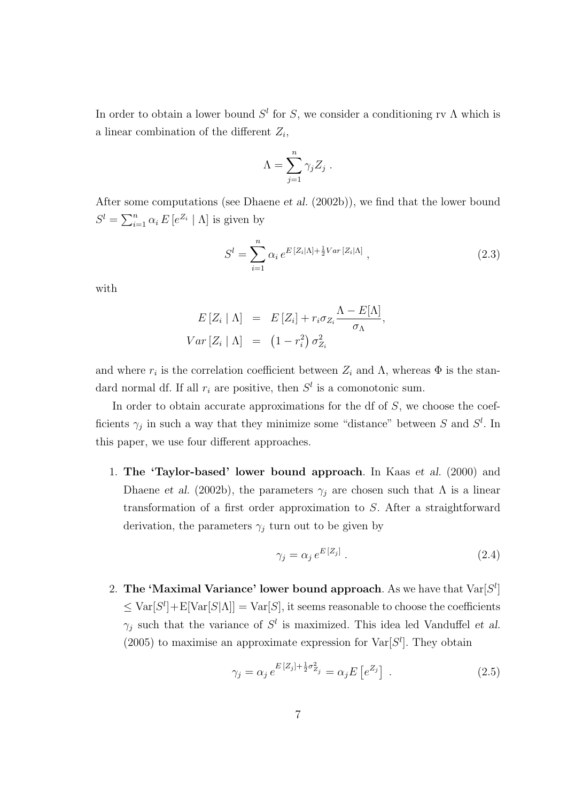In order to obtain a lower bound  $S<sup>l</sup>$  for S, we consider a conditioning rv  $\Lambda$  which is a linear combination of the different  $Z_i$ ,

$$
\Lambda = \sum_{j=1}^n \gamma_j Z_j .
$$

After some computations (see Dhaene et al. (2002b)), we find that the lower bound  $S^l = \sum_{i=1}^n \alpha_i E[e^{Z_i} | \Lambda]$  is given by

$$
S^{l} = \sum_{i=1}^{n} \alpha_{i} e^{E[Z_{i}|\Lambda] + \frac{1}{2}Var[Z_{i}|\Lambda]}, \qquad (2.3)
$$

with

$$
E[Z_i | \Lambda] = E[Z_i] + r_i \sigma_{Z_i} \frac{\Lambda - E[\Lambda]}{\sigma_{\Lambda}},
$$
  
 
$$
Var[Z_i | \Lambda] = (1 - r_i^2) \sigma_{Z_i}^2
$$

and where  $r_i$  is the correlation coefficient between  $Z_i$  and  $\Lambda$ , whereas  $\Phi$  is the standard normal df. If all  $r_i$  are positive, then  $S^l$  is a comonotonic sum.

In order to obtain accurate approximations for the df of  $S$ , we choose the coefficients  $\gamma_j$  in such a way that they minimize some "distance" between S and  $S^l$ . In this paper, we use four different approaches.

1. The 'Taylor-based' lower bound approach. In Kaas et al. (2000) and Dhaene et al. (2002b), the parameters  $\gamma_j$  are chosen such that  $\Lambda$  is a linear transformation of a first order approximation to S. After a straightforward derivation, the parameters  $\gamma_i$  turn out to be given by

$$
\gamma_j = \alpha_j \, e^{E\left[Z_j\right]} \,. \tag{2.4}
$$

2. The 'Maximal Variance' lower bound approach. As we have that  $Var[S^l]$  $\leq$  Var $[S^l]+E[Var[S|\Lambda]] = Var[S]$ , it seems reasonable to choose the coefficients  $\gamma_j$  such that the variance of  $S^l$  is maximized. This idea led Vanduffel *et al.* (2005) to maximise an approximate expression for  $\text{Var}[S^l]$ . They obtain

$$
\gamma_j = \alpha_j e^{E[Z_j] + \frac{1}{2}\sigma_{Z_j}^2} = \alpha_j E\left[e^{Z_j}\right] \tag{2.5}
$$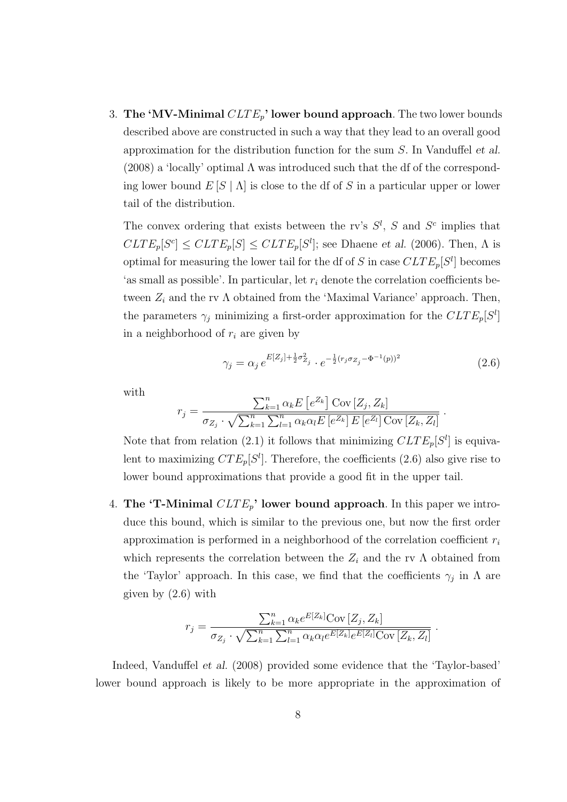3. The 'MV-Minimal  $CLTE_p$ ' lower bound approach. The two lower bounds described above are constructed in such a way that they lead to an overall good approximation for the distribution function for the sum S. In Vanduffel et al.  $(2008)$  a 'locally' optimal  $\Lambda$  was introduced such that the df of the corresponding lower bound  $E[S | \Lambda]$  is close to the df of S in a particular upper or lower tail of the distribution.

The convex ordering that exists between the rv's  $S^l$ , S and  $S^c$  implies that  $CLTE_p[S^c] \leq CLTE_p[S] \leq CLTE_p[S^l];$  see Dhaene et al. (2006). Then,  $\Lambda$  is optimal for measuring the lower tail for the df of S in case  $CLTE_p[S^l]$  becomes 'as small as possible'. In particular, let  $r_i$  denote the correlation coefficients between  $Z_i$  and the rv  $\Lambda$  obtained from the 'Maximal Variance' approach. Then, the parameters  $\gamma_j$  minimizing a first-order approximation for the  $CLTE_p[S^l]$ in a neighborhood of  $r_i$  are given by

$$
\gamma_j = \alpha_j \, e^{E[Z_j] + \frac{1}{2}\sigma_{Z_j}^2} \cdot e^{-\frac{1}{2}(r_j \sigma_{Z_j} - \Phi^{-1}(p))^2}
$$
\n(2.6)

.

with

$$
r_j = \frac{\sum_{k=1}^n \alpha_k E\left[e^{Z_k}\right] \text{Cov}\left[Z_j, Z_k\right]}{\sigma_{Z_j} \cdot \sqrt{\sum_{k=1}^n \sum_{l=1}^n \alpha_k \alpha_l E\left[e^{Z_k}\right] E\left[e^{Z_l}\right] \text{Cov}\left[Z_k, Z_l\right]}}
$$

Note that from relation (2.1) it follows that minimizing  $CLTE_p[S^l]$  is equivalent to maximizing  $CTE_p[S^l]$ . Therefore, the coefficients (2.6) also give rise to lower bound approximations that provide a good fit in the upper tail.

4. The 'T-Minimal  $CLTE_p$ ' lower bound approach. In this paper we introduce this bound, which is similar to the previous one, but now the first order approximation is performed in a neighborhood of the correlation coefficient  $r_i$ which represents the correlation between the  $Z_i$  and the rv  $\Lambda$  obtained from the 'Taylor' approach. In this case, we find that the coefficients  $\gamma_j$  in  $\Lambda$  are given by (2.6) with

$$
r_j = \frac{\sum_{k=1}^n \alpha_k e^{E[Z_k]} \text{Cov}[Z_j, Z_k]}{\sigma_{Z_j} \cdot \sqrt{\sum_{k=1}^n \sum_{l=1}^n \alpha_k \alpha_l e^{E[Z_k]} e^{E[Z_l]} \text{Cov}[Z_k, Z_l]}}.
$$

Indeed, Vanduffel et al. (2008) provided some evidence that the 'Taylor-based' lower bound approach is likely to be more appropriate in the approximation of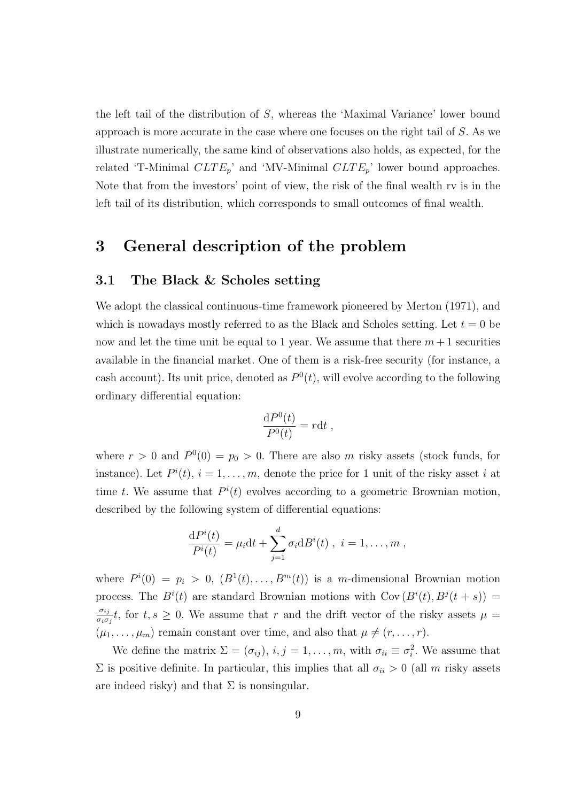the left tail of the distribution of S, whereas the 'Maximal Variance' lower bound approach is more accurate in the case where one focuses on the right tail of S. As we illustrate numerically, the same kind of observations also holds, as expected, for the related 'T-Minimal  $CLTE_p$ ' and 'MV-Minimal  $CLTE_p$ ' lower bound approaches. Note that from the investors' point of view, the risk of the final wealth rv is in the left tail of its distribution, which corresponds to small outcomes of final wealth.

## 3 General description of the problem

#### 3.1 The Black & Scholes setting

We adopt the classical continuous-time framework pioneered by Merton (1971), and which is nowadays mostly referred to as the Black and Scholes setting. Let  $t = 0$  be now and let the time unit be equal to 1 year. We assume that there  $m+1$  securities available in the financial market. One of them is a risk-free security (for instance, a cash account). Its unit price, denoted as  $P^{0}(t)$ , will evolve according to the following ordinary differential equation:

$$
\frac{\mathrm{d}P^0(t)}{P^0(t)} = r \mathrm{d}t ,
$$

where  $r > 0$  and  $P^0(0) = p_0 > 0$ . There are also m risky assets (stock funds, for instance). Let  $P^{i}(t)$ ,  $i = 1, ..., m$ , denote the price for 1 unit of the risky asset i at time t. We assume that  $P^{i}(t)$  evolves according to a geometric Brownian motion, described by the following system of differential equations:

$$
\frac{\mathrm{d}P^{i}(t)}{P^{i}(t)}=\mu_{i}\mathrm{d}t+\sum_{j=1}^{d}\sigma_{i}\mathrm{d}B^{i}(t),\ i=1,\ldots,m,
$$

where  $P^{i}(0) = p_{i} > 0$ ,  $(B^{1}(t),...,B^{m}(t))$  is a m-dimensional Brownian motion process. The  $B^{i}(t)$  are standard Brownian motions with  $Cov(B^{i}(t), B^{j}(t + s)) =$  $\sigma_{ij}$  $\frac{\sigma_{ij}}{\sigma_i \sigma_j} t$ , for  $t, s \geq 0$ . We assume that r and the drift vector of the risky assets  $\mu =$  $(\mu_1, \ldots, \mu_m)$  remain constant over time, and also that  $\mu \neq (r, \ldots, r)$ .

We define the matrix  $\Sigma = (\sigma_{ij}), i, j = 1, \ldots, m$ , with  $\sigma_{ii} \equiv \sigma_i^2$ . We assume that  $\Sigma$  is positive definite. In particular, this implies that all  $\sigma_{ii} > 0$  (all m risky assets are indeed risky) and that  $\Sigma$  is nonsingular.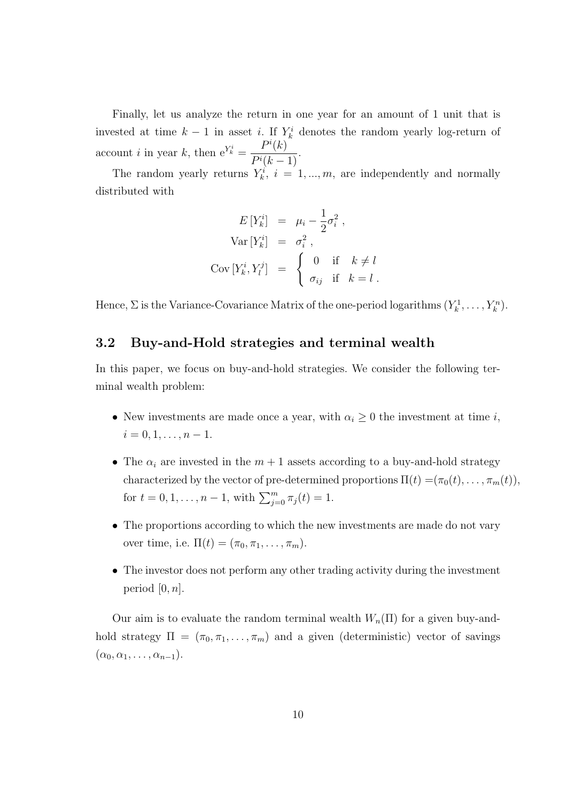Finally, let us analyze the return in one year for an amount of 1 unit that is invested at time  $k-1$  in asset i. If  $Y_k^i$  denotes the random yearly log-return of account *i* in year *k*, then  $e^{Y_k^i}$  =  $P^i(k)$  $\frac{1}{P^i(k-1)}$ 

The random yearly returns  $Y_k^i$ ,  $i = 1, ..., m$ , are independently and normally distributed with

$$
E[Y_k^i] = \mu_i - \frac{1}{2}\sigma_i^2,
$$
  
\n
$$
Var[Y_k^i] = \sigma_i^2,
$$
  
\n
$$
Cov[Y_k^i, Y_l^j] = \begin{cases} 0 & \text{if } k \neq l \\ \sigma_{ij} & \text{if } k = l. \end{cases}
$$

Hence,  $\Sigma$  is the Variance-Covariance Matrix of the one-period logarithms  $(Y_k^1, \ldots, Y_k^n)$ .

#### 3.2 Buy-and-Hold strategies and terminal wealth

In this paper, we focus on buy-and-hold strategies. We consider the following terminal wealth problem:

- New investments are made once a year, with  $\alpha_i \geq 0$  the investment at time *i*,  $i = 0, 1, \ldots, n - 1.$
- The  $\alpha_i$  are invested in the  $m+1$  assets according to a buy-and-hold strategy characterized by the vector of pre-determined proportions  $\Pi(t) = (\pi_0(t), \ldots, \pi_m(t)),$ for  $t = 0, 1, \ldots, n - 1$ , with  $\sum_{j=0}^{m} \pi_j(t) = 1$ .
- The proportions according to which the new investments are made do not vary over time, i.e.  $\Pi(t) = (\pi_0, \pi_1, \ldots, \pi_m)$ .
- The investor does not perform any other trading activity during the investment period  $[0, n]$ .

Our aim is to evaluate the random terminal wealth  $W_n(\Pi)$  for a given buy-andhold strategy  $\Pi = (\pi_0, \pi_1, \dots, \pi_m)$  and a given (deterministic) vector of savings  $(\alpha_0, \alpha_1, \ldots, \alpha_{n-1}).$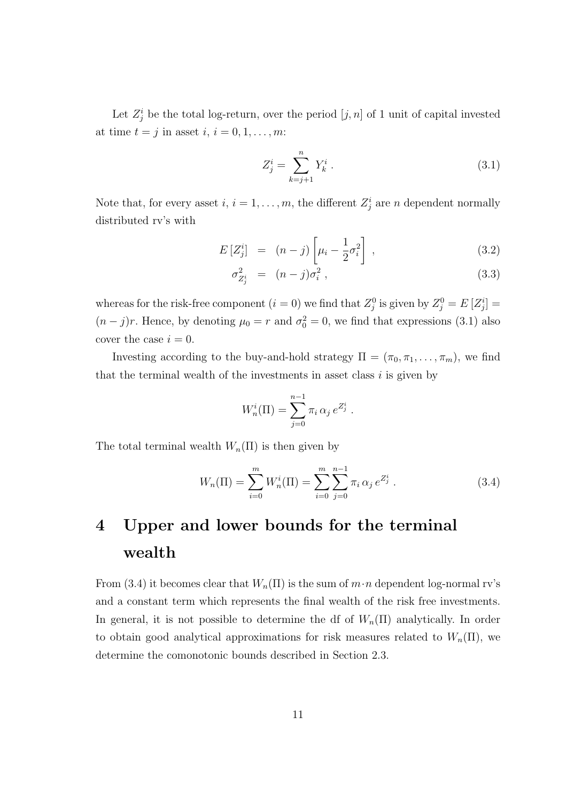Let  $Z_j^i$  be the total log-return, over the period  $[j, n]$  of 1 unit of capital invested at time  $t = j$  in asset  $i, i = 0, 1, \ldots, m$ :

$$
Z_j^i = \sum_{k=j+1}^n Y_k^i . \t\t(3.1)
$$

Note that, for every asset  $i, i = 1, \ldots, m$ , the different  $Z_j^i$  are n dependent normally distributed rv's with

$$
E\left[Z_j^i\right] = (n-j)\left[\mu_i - \frac{1}{2}\sigma_i^2\right],\tag{3.2}
$$

$$
\sigma_{Z_j^i}^2 = (n-j)\sigma_i^2 \,, \tag{3.3}
$$

whereas for the risk-free component  $(i = 0)$  we find that  $Z_j^0$  is given by  $Z_j^0 = E[Z_j^i] =$  $(n-j)r$ . Hence, by denoting  $\mu_0 = r$  and  $\sigma_0^2 = 0$ , we find that expressions (3.1) also cover the case  $i = 0$ .

Investing according to the buy-and-hold strategy  $\Pi = (\pi_0, \pi_1, \dots, \pi_m)$ , we find that the terminal wealth of the investments in asset class  $i$  is given by

$$
W_n^i(\Pi) = \sum_{j=0}^{n-1} \pi_i \, \alpha_j \, e^{Z_j^i} \, .
$$

The total terminal wealth  $W_n(\Pi)$  is then given by

$$
W_n(\Pi) = \sum_{i=0}^{m} W_n^i(\Pi) = \sum_{i=0}^{m} \sum_{j=0}^{n-1} \pi_i \, \alpha_j \, e^{Z_j^i} \,. \tag{3.4}
$$

# 4 Upper and lower bounds for the terminal wealth

From (3.4) it becomes clear that  $W_n(\Pi)$  is the sum of  $m \cdot n$  dependent log-normal rv's and a constant term which represents the final wealth of the risk free investments. In general, it is not possible to determine the df of  $W_n(\Pi)$  analytically. In order to obtain good analytical approximations for risk measures related to  $W_n(\Pi)$ , we determine the comonotonic bounds described in Section 2.3.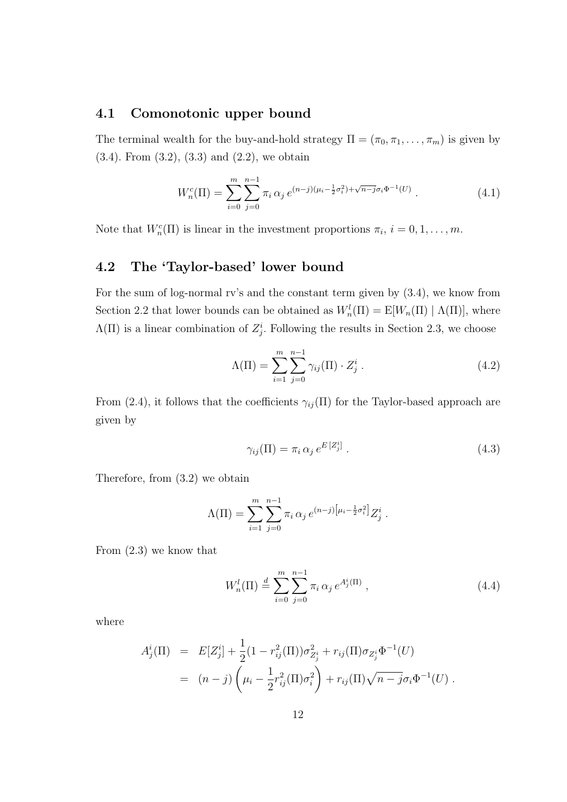#### 4.1 Comonotonic upper bound

The terminal wealth for the buy-and-hold strategy  $\Pi = (\pi_0, \pi_1, \dots, \pi_m)$  is given by (3.4). From (3.2), (3.3) and (2.2), we obtain

$$
W_n^c(\Pi) = \sum_{i=0}^m \sum_{j=0}^{n-1} \pi_i \, \alpha_j \, e^{(n-j)(\mu_i - \frac{1}{2}\sigma_i^2) + \sqrt{n-j}\sigma_i \Phi^{-1}(U)} \,. \tag{4.1}
$$

Note that  $W_n^c(\Pi)$  is linear in the investment proportions  $\pi_i$ ,  $i = 0, 1, \ldots, m$ .

### 4.2 The 'Taylor-based' lower bound

For the sum of log-normal rv's and the constant term given by (3.4), we know from Section 2.2 that lower bounds can be obtained as  $W_n^l(\Pi) = E[W_n(\Pi) | \Lambda(\Pi)]$ , where  $\Lambda(\Pi)$  is a linear combination of  $Z_j^i$ . Following the results in Section 2.3, we choose

$$
\Lambda(\Pi) = \sum_{i=1}^{m} \sum_{j=0}^{n-1} \gamma_{ij}(\Pi) \cdot Z_j^i . \tag{4.2}
$$

From (2.4), it follows that the coefficients  $\gamma_{ij}(\Pi)$  for the Taylor-based approach are given by

$$
\gamma_{ij}(\Pi) = \pi_i \, \alpha_j \, e^{E\left[Z_j^i\right]} \,. \tag{4.3}
$$

Therefore, from (3.2) we obtain

$$
\Lambda(\Pi) = \sum_{i=1}^{m} \sum_{j=0}^{n-1} \pi_i \, \alpha_j \, e^{(n-j) \left[ \mu_i - \frac{1}{2} \sigma_i^2 \right]} Z_j^i \, .
$$

From (2.3) we know that

$$
W_n^l(\Pi) \stackrel{d}{=} \sum_{i=0}^m \sum_{j=0}^{n-1} \pi_i \, \alpha_j \, e^{A_j^i(\Pi)} \,, \tag{4.4}
$$

where

$$
A_j^i(\Pi) = E[Z_j^i] + \frac{1}{2}(1 - r_{ij}^2(\Pi))\sigma_{Z_j^i}^2 + r_{ij}(\Pi)\sigma_{Z_j^i}\Phi^{-1}(U)
$$
  
= 
$$
(n - j)\left(\mu_i - \frac{1}{2}r_{ij}^2(\Pi)\sigma_i^2\right) + r_{ij}(\Pi)\sqrt{n - j}\sigma_i\Phi^{-1}(U).
$$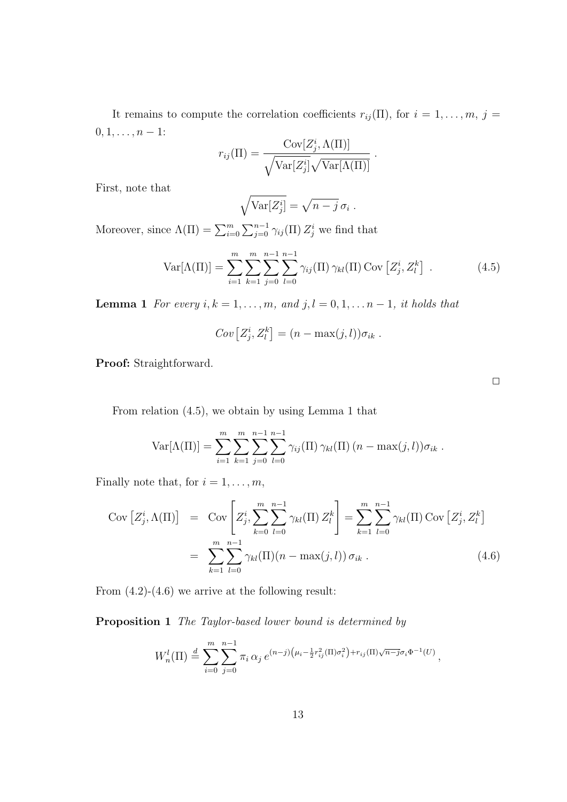It remains to compute the correlation coefficients  $r_{ij}(\Pi)$ , for  $i = 1, \ldots, m, j =$  $0, 1, \ldots, n-1$ :

$$
r_{ij}(\Pi) = \frac{\text{Cov}[Z_j^i, \Lambda(\Pi)]}{\sqrt{\text{Var}[Z_j^i]}\sqrt{\text{Var}[\Lambda(\Pi)]}}
$$

First, note that

$$
\sqrt{\text{Var}[Z_j^i]} = \sqrt{n-j} \,\sigma_i \;.
$$

Moreover, since  $\Lambda(\Pi) = \sum_{i=0}^{m} \sum_{j=0}^{n-1} \gamma_{ij}(\Pi) Z_j^i$  we find that

$$
Var[\Lambda(\Pi)] = \sum_{i=1}^{m} \sum_{k=1}^{m} \sum_{j=0}^{n-1} \sum_{l=0}^{n-1} \gamma_{ij}(\Pi) \gamma_{kl}(\Pi) Cov[Z_j^i, Z_l^k].
$$
 (4.5)

.

**Lemma 1** For every  $i, k = 1, \ldots, m$ , and  $j, l = 0, 1, \ldots, n-1$ , it holds that

$$
Cov[Z_j^i, Z_l^k] = (n - \max(j, l))\sigma_{ik}.
$$

Proof: Straightforward.

From relation (4.5), we obtain by using Lemma 1 that

Var
$$
[\Lambda(\Pi)]
$$
 =  $\sum_{i=1}^{m} \sum_{k=1}^{m} \sum_{j=0}^{n-1} \sum_{l=0}^{n-1} \gamma_{ij}(\Pi) \gamma_{kl}(\Pi) (n - \max(j, l)) \sigma_{ik}$ .

Finally note that, for  $i = 1, \ldots, m$ ,

$$
Cov [Z_j^i, \Lambda(\Pi)] = Cov \left[ Z_j^i, \sum_{k=0}^m \sum_{l=0}^{n-1} \gamma_{kl}(\Pi) Z_l^k \right] = \sum_{k=1}^m \sum_{l=0}^{n-1} \gamma_{kl}(\Pi) Cov [Z_j^i, Z_l^k]
$$
  

$$
= \sum_{k=1}^m \sum_{l=0}^{n-1} \gamma_{kl}(\Pi) (n - \max(j, l)) \sigma_{ik} .
$$
 (4.6)

From  $(4.2)-(4.6)$  we arrive at the following result:

Proposition 1 The Taylor-based lower bound is determined by

$$
W_n^l(\Pi) \stackrel{d}{=} \sum_{i=0}^m \sum_{j=0}^{n-1} \pi_i \, \alpha_j \, e^{(n-j)\left(\mu_i - \frac{1}{2}r_{ij}^2(\Pi)\sigma_i^2\right) + r_{ij}(\Pi)\sqrt{n-j}\sigma_i \Phi^{-1}(U)},
$$

 $\Box$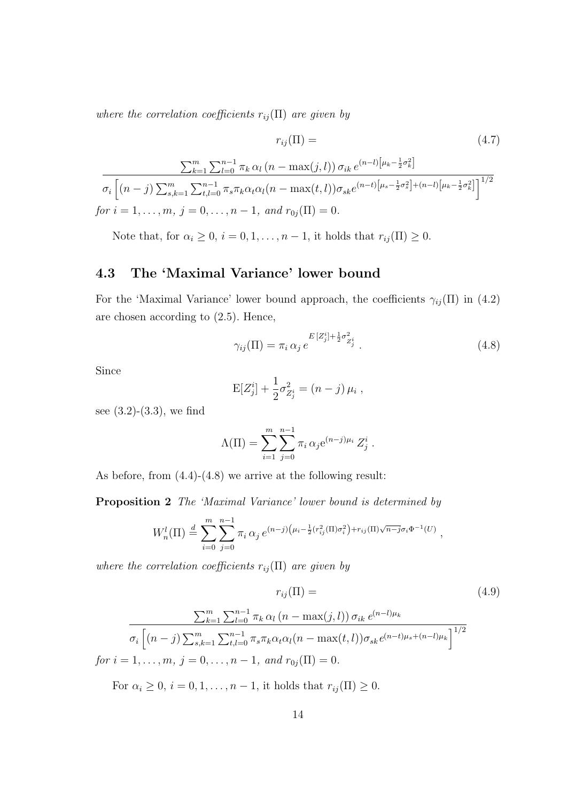where the correlation coefficients  $r_{ij}(\Pi)$  are given by

$$
r_{ij}(\Pi) = (4.7)
$$

$$
\frac{\sum_{k=1}^{m} \sum_{l=0}^{n-1} \pi_k \alpha_l (n - \max(j, l)) \sigma_{ik} e^{(n-l)[\mu_k - \frac{1}{2}\sigma_k^2]}}{\sigma_i \left[ (n-j) \sum_{s,k=1}^{m} \sum_{t,l=0}^{n-1} \pi_s \pi_k \alpha_t \alpha_l (n - \max(t, l)) \sigma_{sk} e^{(n-t)[\mu_s - \frac{1}{2}\sigma_s^2] + (n-l)[\mu_k - \frac{1}{2}\sigma_k^2]}\right]^{1/2}}
$$
  
for  $i = 1, ..., m, j = 0, ..., n - 1$ , and  $r_{0j}(\Pi) = 0$ .

Note that, for  $\alpha_i \geq 0$ ,  $i = 0, 1, \ldots, n - 1$ , it holds that  $r_{ij}(\Pi) \geq 0$ .

### 4.3 The 'Maximal Variance' lower bound

For the 'Maximal Variance' lower bound approach, the coefficients  $\gamma_{ij}(\Pi)$  in (4.2) are chosen according to (2.5). Hence,

$$
\gamma_{ij}(\Pi) = \pi_i \, \alpha_j \, e^{-E[Z_j^i] + \frac{1}{2}\sigma_{Z_j^i}^2} \,. \tag{4.8}
$$

Since

$$
E[Z_j^i] + \frac{1}{2}\sigma_{Z_j^i}^2 = (n-j)\,\mu_i\;,
$$

see (3.2)-(3.3), we find

$$
\Lambda(\Pi) = \sum_{i=1}^{m} \sum_{j=0}^{n-1} \pi_i \, \alpha_j e^{(n-j)\mu_i} \, Z_j^i \, .
$$

As before, from (4.4)-(4.8) we arrive at the following result:

Proposition 2 The 'Maximal Variance' lower bound is determined by

$$
W_n^l(\Pi) \stackrel{d}{=} \sum_{i=0}^m \sum_{j=0}^{n-1} \pi_i \, \alpha_j \, e^{(n-j)\left(\mu_i - \frac{1}{2} (r_{ij}^2(\Pi)\sigma_i^2\right) + r_{ij}(\Pi)\sqrt{n-j} \sigma_i \Phi^{-1}(U)}
$$

where the correlation coefficients  $r_{ij}(\Pi)$  are given by

$$
r_{ij}(\Pi) = (4.9)
$$

,

$$
\frac{\sum_{k=1}^{m} \sum_{l=0}^{n-1} \pi_k \alpha_l (n - \max(j, l)) \sigma_{ik} e^{(n-l)\mu_k}}{\sigma_i \left[ (n-j) \sum_{s,k=1}^{m} \sum_{t,l=0}^{n-1} \pi_s \pi_k \alpha_t \alpha_l (n - \max(t, l)) \sigma_{sk} e^{(n-t)\mu_s + (n-l)\mu_k} \right]^{1/2}}
$$
  
for  $i = 1, ..., m, j = 0, ..., n-1$ , and  $r_{0j}(\Pi) = 0$ .

For  $\alpha_i \geq 0$ ,  $i = 0, 1, \ldots, n - 1$ , it holds that  $r_{ij}(\Pi) \geq 0$ .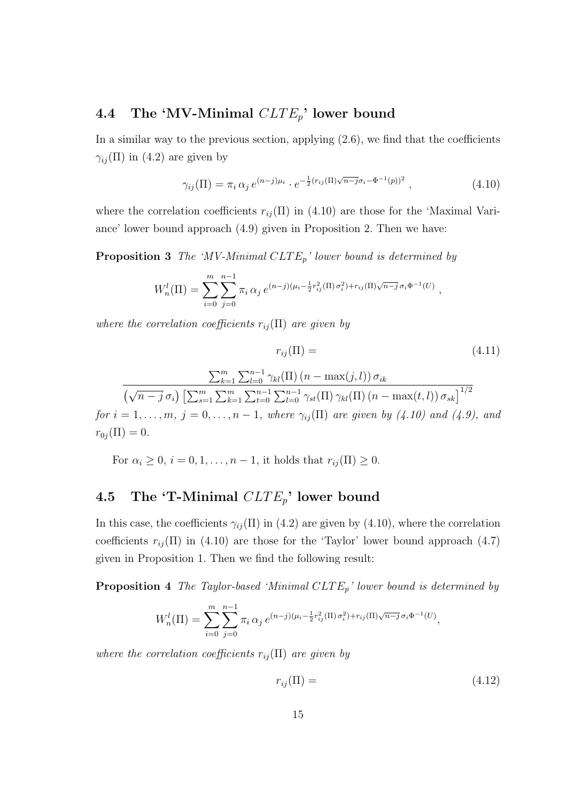## 4.4 The 'MV-Minimal  $CLTE_p$ ' lower bound

In a similar way to the previous section, applying  $(2.6)$ , we find that the coefficients  $\gamma_{ij}(\Pi)$  in (4.2) are given by

$$
\gamma_{ij}(\Pi) = \pi_i \, \alpha_j \, e^{(n-j)\mu_i} \cdot e^{-\frac{1}{2}(r_{ij}(\Pi)\sqrt{n-j}\sigma_i - \Phi^{-1}(p))^2} \,, \tag{4.10}
$$

where the correlation coefficients  $r_{ij}(\Pi)$  in (4.10) are those for the 'Maximal Variance' lower bound approach (4.9) given in Proposition 2. Then we have:

**Proposition 3** The 'MV-Minimal  $CLTE_p$ ' lower bound is determined by

$$
W_n^l(\Pi) = \sum_{i=0}^m \sum_{j=0}^{n-1} \pi_i \, \alpha_j \, e^{(n-j)(\mu_i - \frac{1}{2}r_{ij}^2(\Pi) \sigma_i^2) + r_{ij}(\Pi)\sqrt{n-j} \, \sigma_i \Phi^{-1}(U)} \,,
$$

where the correlation coefficients  $r_{ij}(\Pi)$  are given by

$$
r_{ij}(\Pi) = \qquad (4.11)
$$
\n
$$
\frac{\sum_{k=1}^{m} \sum_{l=0}^{n-1} \gamma_{kl}(\Pi) (n - \max(j, l)) \sigma_{ik}}{\left(\sqrt{n - j} \sigma_i\right) \left[\sum_{s=1}^{m} \sum_{k=1}^{m} \sum_{t=0}^{n-1} \sum_{l=0}^{n-1} \gamma_{st}(\Pi) \gamma_{kl}(\Pi) (n - \max(t, l)) \sigma_{sk}\right]^{1/2}}
$$
\n
$$
\frac{1}{\sum_{s=1}^{m} \sum_{k=1}^{n-1} \sum_{t=0}^{n-1} \gamma_{st}(\Pi) \cos \gamma_{ist}(\Pi) \cos \gamma_{st}(\Pi) \cos \gamma_{st}(\Pi)} \text{ and } (l, 0) \text{ and } (l, 1) \text{ and } (l, 2) \text{ and } (l, 3) \text{ and } (l, 4) \text{ and } (l, 4) \text{ and } (l, 4) \text{ and } (l, 5) \text{ and } (l, 6) \text{ and } (l, 6) \text{ and } (l, 6) \text{ and } (l, 6) \text{ and } (l, 6) \text{ and } (l, 6) \text{ and } (l, 6) \text{ and } (l, 6) \text{ and } (l, 6) \text{ and } (l, 6) \text{ and } (l, 6) \text{ and } (l, 6) \text{ and } (l, 6) \text{ and } (l, 6) \text{ and } (l, 6) \text{ and } (l, 6) \text{ and } (l, 6) \text{ and } (l, 6) \text{ and } (l, 6) \text{ and } (l, 6) \text{ and } (l, 6) \text{ and } (l, 6) \text{ and } (l, 6) \text{ and } (l, 6) \text{ and } (l, 6) \text{ and } (l, 6) \text{ and } (l, 6) \text{ and } (l, 6) \text{ and } (l, 6) \text{ and } (l, 6) \text{ and } (l, 6) \text{ and } (l, 6) \text{ and } (l, 6) \text{ and } (l, 6) \text{ and } (l, 6) \text{ and } (l, 6) \text{ and } (l, 6) \text{ and } (l, 6)
$$

for  $i = 1, \ldots, m, j = 0, \ldots, n - 1$ , where  $\gamma_{ij}(\Pi)$  are given by (4.10) and (4.9), and  $r_{0i}(\Pi) = 0.$ 

For  $\alpha_i \geq 0$ ,  $i = 0, 1, \ldots, n - 1$ , it holds that  $r_{ij}(\Pi) \geq 0$ .

## 4.5 The 'T-Minimal  $CLTE_p$ ' lower bound

In this case, the coefficients  $\gamma_{ij}(\Pi)$  in (4.2) are given by (4.10), where the correlation coefficients  $r_{ij}(\Pi)$  in (4.10) are those for the 'Taylor' lower bound approach (4.7) given in Proposition 1. Then we find the following result:

**Proposition 4** The Taylor-based 'Minimal  $CLTE_p$ ' lower bound is determined by

$$
W_n^l(\Pi) = \sum_{i=0}^m \sum_{j=0}^{n-1} \pi_i \, \alpha_j \, e^{(n-j)(\mu_i - \frac{1}{2}r_{ij}^2(\Pi) \sigma_i^2) + r_{ij}(\Pi)\sqrt{n-j} \, \sigma_i \Phi^{-1}(U)},
$$

where the correlation coefficients  $r_{ij}(\Pi)$  are given by

$$
r_{ij}(\Pi) = \tag{4.12}
$$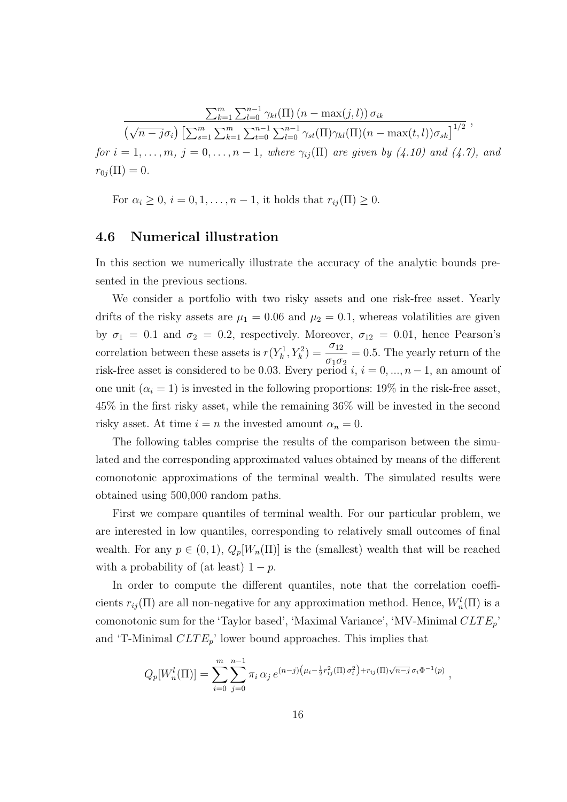$$
\frac{\sum_{k=1}^{m} \sum_{l=0}^{n-1} \gamma_{kl}(\Pi) (n - \max(j, l)) \sigma_{ik}}{(\sqrt{n - j} \sigma_i) \left[ \sum_{s=1}^{m} \sum_{k=1}^{m} \sum_{t=0}^{n-1} \sum_{l=0}^{n-1} \gamma_{st}(\Pi) \gamma_{kl}(\Pi) (n - \max(t, l)) \sigma_{sk} \right]^{1/2}},
$$
  
for  $i = 1, ..., m, j = 0, ..., n - 1$ , where  $\gamma_{ij}(\Pi)$  are given by (4.10) and (4.7), and  
 $r_{0j}(\Pi) = 0$ .

For  $\alpha_i \geq 0$ ,  $i = 0, 1, \ldots, n - 1$ , it holds that  $r_{ij}(\Pi) \geq 0$ .

#### 4.6 Numerical illustration

In this section we numerically illustrate the accuracy of the analytic bounds presented in the previous sections.

We consider a portfolio with two risky assets and one risk-free asset. Yearly drifts of the risky assets are  $\mu_1 = 0.06$  and  $\mu_2 = 0.1$ , whereas volatilities are given by  $\sigma_1 = 0.1$  and  $\sigma_2 = 0.2$ , respectively. Moreover,  $\sigma_{12} = 0.01$ , hence Pearson's correlation between these assets is  $r(Y_k^1, Y_k^2) = \frac{\sigma_{12}}{2\sigma_{12}}$  $\sigma_1 \sigma_2$  $= 0.5$ . The yearly return of the risk-free asset is considered to be 0.03. Every period i,  $i = 0, ..., n-1$ , an amount of one unit  $(\alpha_i = 1)$  is invested in the following proportions: 19% in the risk-free asset, 45% in the first risky asset, while the remaining 36% will be invested in the second risky asset. At time  $i = n$  the invested amount  $\alpha_n = 0$ .

The following tables comprise the results of the comparison between the simulated and the corresponding approximated values obtained by means of the different comonotonic approximations of the terminal wealth. The simulated results were obtained using 500,000 random paths.

First we compare quantiles of terminal wealth. For our particular problem, we are interested in low quantiles, corresponding to relatively small outcomes of final wealth. For any  $p \in (0,1)$ ,  $Q_p[W_n(\Pi)]$  is the (smallest) wealth that will be reached with a probability of (at least)  $1 - p$ .

In order to compute the different quantiles, note that the correlation coefficients  $r_{ij}(\Pi)$  are all non-negative for any approximation method. Hence,  $W_n^l(\Pi)$  is a comonotonic sum for the 'Taylor based', 'Maximal Variance', 'MV-Minimal  $CLTE_p$ ' and 'T-Minimal  $CLTE_p$ ' lower bound approaches. This implies that

$$
Q_p[W_n^l(\Pi)] = \sum_{i=0}^m \sum_{j=0}^{n-1} \pi_i \, \alpha_j \, e^{(n-j)\left(\mu_i - \frac{1}{2}r_{ij}^2(\Pi)\,\sigma_i^2\right) + r_{ij}(\Pi)\sqrt{n-j} \,\sigma_i \Phi^{-1}(p)},
$$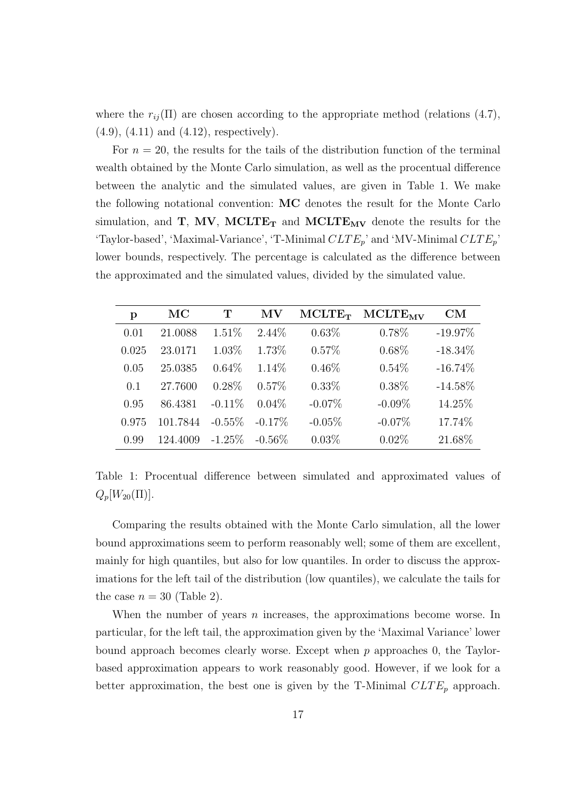where the  $r_{ij}(\Pi)$  are chosen according to the appropriate method (relations (4.7), (4.9), (4.11) and (4.12), respectively).

For  $n = 20$ , the results for the tails of the distribution function of the terminal wealth obtained by the Monte Carlo simulation, as well as the procentual difference between the analytic and the simulated values, are given in Table 1. We make the following notational convention: MC denotes the result for the Monte Carlo simulation, and  $T$ , MV, MCLTE<sub>T</sub> and MCLTE<sub>MV</sub> denote the results for the 'Taylor-based', 'Maximal-Variance', 'T-Minimal  $CLTE_p$ ' and 'MV-Minimal  $CLTE_p$ ' lower bounds, respectively. The percentage is calculated as the difference between the approximated and the simulated values, divided by the simulated value.

| p     | MC       | T         | MV        | $MCLTE_T$ | <b>MCLTE<sub>MV</sub></b> | $\mathrm{CM}% _{0}$ |
|-------|----------|-----------|-----------|-----------|---------------------------|---------------------|
| 0.01  | 21.0088  | 1.51%     | $2.44\%$  | $0.63\%$  | 0.78%                     | $-19.97\%$          |
| 0.025 | 23.0171  | 1.03%     | 1.73%     | $0.57\%$  | $0.68\%$                  | $-18.34\%$          |
| 0.05  | 25.0385  | $0.64\%$  | 1.14\%    | $0.46\%$  | $0.54\%$                  | $-16.74\%$          |
| 0.1   | 27.7600  | $0.28\%$  | $0.57\%$  | $0.33\%$  | $0.38\%$                  | $-14.58\%$          |
| 0.95  | 86.4381  | $-0.11\%$ | $0.04\%$  | $-0.07\%$ | $-0.09\%$                 | 14.25%              |
| 0.975 | 101.7844 | $-0.55\%$ | $-0.17\%$ | $-0.05%$  | $-0.07%$                  | 17.74%              |
| 0.99  | 124.4009 | $-1.25\%$ | $-0.56\%$ | $0.03\%$  | $0.02\%$                  | 21.68%              |

Table 1: Procentual difference between simulated and approximated values of  $Q_p[W_{20}(\Pi)].$ 

Comparing the results obtained with the Monte Carlo simulation, all the lower bound approximations seem to perform reasonably well; some of them are excellent, mainly for high quantiles, but also for low quantiles. In order to discuss the approximations for the left tail of the distribution (low quantiles), we calculate the tails for the case  $n = 30$  (Table 2).

When the number of years  $n$  increases, the approximations become worse. In particular, for the left tail, the approximation given by the 'Maximal Variance' lower bound approach becomes clearly worse. Except when  $p$  approaches 0, the Taylorbased approximation appears to work reasonably good. However, if we look for a better approximation, the best one is given by the T-Minimal  $CLTE_p$  approach.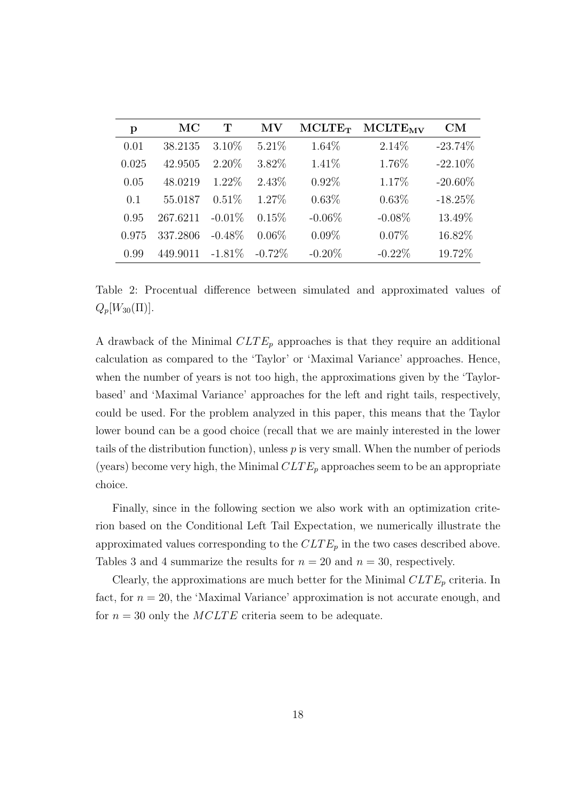| p     | $\rm MC$ | Т         | МV        | $MCLTE_T$ | <b>MCLTE<sub>MV</sub></b> | $\mathrm{CM}% _{t}\left( t\right) \sim\mathrm{(M}_{t}\left( t\right) ,\left( t\right) \sim\mathrm{(M}_{t}\left( t\right) )$ |
|-------|----------|-----------|-----------|-----------|---------------------------|-----------------------------------------------------------------------------------------------------------------------------|
| 0.01  | 38.2135  | $3.10\%$  | $5.21\%$  | 1.64%     | $2.14\%$                  | $-23.74\%$                                                                                                                  |
| 0.025 | 42.9505  | $2.20\%$  | 3.82%     | 1.41\%    | 1.76%                     | $-22.10\%$                                                                                                                  |
| 0.05  | 48.0219  | $1.22\%$  | 2.43\%    | $0.92\%$  | 1.17%                     | $-20.60\%$                                                                                                                  |
| 0.1   | 55.0187  | $0.51\%$  | 1.27%     | 0.63%     | $0.63\%$                  | $-18.25%$                                                                                                                   |
| 0.95  | 267.6211 | $-0.01\%$ | 0.15%     | $-0.06\%$ | $-0.08\%$                 | 13.49%                                                                                                                      |
| 0.975 | 337.2806 | $-0.48\%$ | $0.06\%$  | $0.09\%$  | 0.07%                     | 16.82%                                                                                                                      |
| 0.99  | 449.9011 | $-1.81\%$ | $-0.72\%$ | $-0.20\%$ | $-0.22\%$                 | 19.72%                                                                                                                      |

Table 2: Procentual difference between simulated and approximated values of  $Q_p[W_{30}(\Pi)].$ 

A drawback of the Minimal  $CLTE_p$  approaches is that they require an additional calculation as compared to the 'Taylor' or 'Maximal Variance' approaches. Hence, when the number of years is not too high, the approximations given by the 'Taylorbased' and 'Maximal Variance' approaches for the left and right tails, respectively, could be used. For the problem analyzed in this paper, this means that the Taylor lower bound can be a good choice (recall that we are mainly interested in the lower tails of the distribution function), unless  $p$  is very small. When the number of periods (years) become very high, the Minimal  $CLTE_p$  approaches seem to be an appropriate choice.

Finally, since in the following section we also work with an optimization criterion based on the Conditional Left Tail Expectation, we numerically illustrate the approximated values corresponding to the  $CLTE_p$  in the two cases described above. Tables 3 and 4 summarize the results for  $n = 20$  and  $n = 30$ , respectively.

Clearly, the approximations are much better for the Minimal  $CLTE_p$  criteria. In fact, for  $n = 20$ , the 'Maximal Variance' approximation is not accurate enough, and for  $n = 30$  only the *MCLTE* criteria seem to be adequate.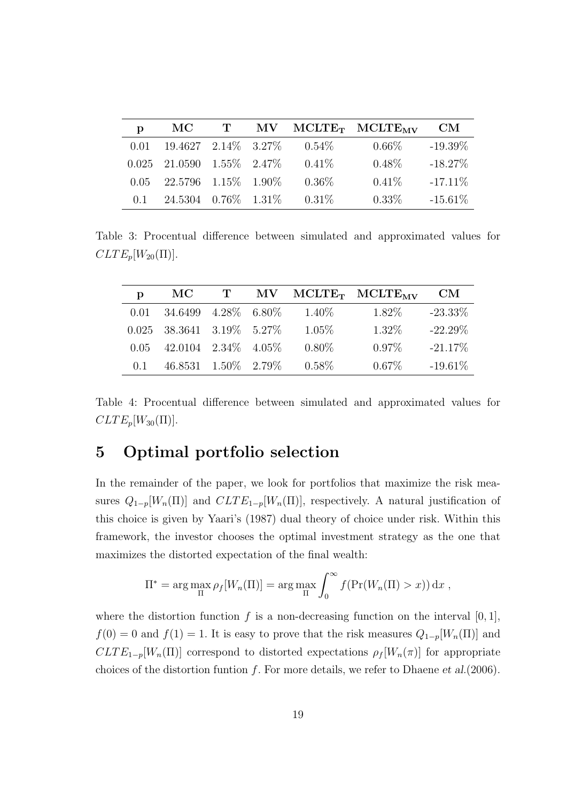| p    | MC.                           |  |          | T MV MCLTE <sub>T</sub> MCLTE <sub>MV</sub> | <b>CM</b>  |
|------|-------------------------------|--|----------|---------------------------------------------|------------|
| 0.01 | $19.4627$ $2.14\%$ $3.27\%$   |  | $0.54\%$ | $0.66\%$                                    | $-19.39\%$ |
|      | $0.025$ 21.0590 1.55\% 2.47\% |  | $0.41\%$ | $0.48\%$                                    | $-18.27\%$ |
| 0.05 | 22.5796 1.15\% 1.90\%         |  | $0.36\%$ | $0.41\%$                                    | $-17.11\%$ |
| 0.1  | $24.5304$ 0.76\% 1.31\%       |  | $0.31\%$ | $0.33\%$                                    | $-15.61\%$ |

Table 3: Procentual difference between simulated and approximated values for  $CLTE_p[W_{20}(\Pi)].$ 

| p    | $\rm MC$                      |  |          | T MV MCLTE <sub>T</sub> MCLTE <sub>MV</sub> | <b>CM</b>  |
|------|-------------------------------|--|----------|---------------------------------------------|------------|
| 0.01 | 34.6499 4.28\% 6.80\%         |  | $1.40\%$ | $1.82\%$                                    | $-23.33\%$ |
|      | $0.025$ 38.3641 3.19\% 5.27\% |  | $1.05\%$ | $1.32\%$                                    | $-22.29\%$ |
| 0.05 | 42.0104 2.34\% 4.05\%         |  | $0.80\%$ | $0.97\%$                                    | $-21.17\%$ |
| 0.1  | 46.8531 1.50\% 2.79\%         |  | $0.58\%$ | $0.67\%$                                    | $-19.61\%$ |

Table 4: Procentual difference between simulated and approximated values for  $CLTE_p[W_{30}(\Pi)].$ 

## 5 Optimal portfolio selection

In the remainder of the paper, we look for portfolios that maximize the risk measures  $Q_{1-p}[W_n(\Pi)]$  and  $CLTE_{1-p}[W_n(\Pi)]$ , respectively. A natural justification of this choice is given by Yaari's (1987) dual theory of choice under risk. Within this framework, the investor chooses the optimal investment strategy as the one that maximizes the distorted expectation of the final wealth:

$$
\Pi^* = \arg \max_{\Pi} \rho_f[W_n(\Pi)] = \arg \max_{\Pi} \int_0^\infty f(\Pr(W_n(\Pi) > x)) \, \mathrm{d}x \;,
$$

where the distortion function f is a non-decreasing function on the interval  $[0, 1]$ ,  $f(0) = 0$  and  $f(1) = 1$ . It is easy to prove that the risk measures  $Q_{1-p}[W_n(\Pi)]$  and  $CLTE_{1-p}[W_n(\Pi)]$  correspond to distorted expectations  $\rho_f[W_n(\pi)]$  for appropriate choices of the distortion funtion  $f$ . For more details, we refer to Dhaene et al. (2006).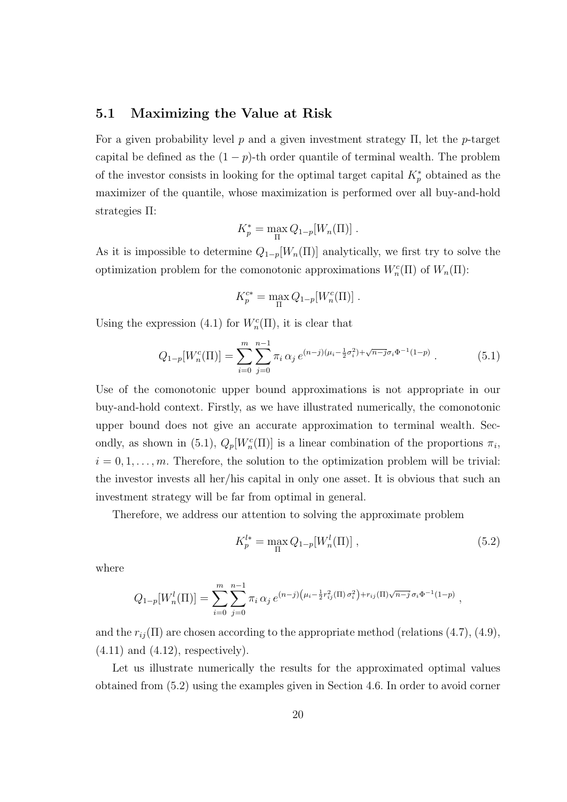### 5.1 Maximizing the Value at Risk

For a given probability level  $p$  and a given investment strategy  $\Pi$ , let the p-target capital be defined as the  $(1 - p)$ -th order quantile of terminal wealth. The problem of the investor consists in looking for the optimal target capital  $K_p^*$  obtained as the maximizer of the quantile, whose maximization is performed over all buy-and-hold strategies Π:

$$
K_p^* = \max_{\Pi} Q_{1-p}[W_n(\Pi)].
$$

As it is impossible to determine  $Q_{1-p}[W_n(\Pi)]$  analytically, we first try to solve the optimization problem for the comonotonic approximations  $W_n^c(\Pi)$  of  $W_n(\Pi)$ :

$$
K_p^{c*} = \max_{\Pi} Q_{1-p}[W_n^c(\Pi)] .
$$

Using the expression (4.1) for  $W_n^c(\Pi)$ , it is clear that

$$
Q_{1-p}[W_n^c(\Pi)] = \sum_{i=0}^m \sum_{j=0}^{n-1} \pi_i \, \alpha_j \, e^{(n-j)(\mu_i - \frac{1}{2}\sigma_i^2) + \sqrt{n-j}\sigma_i \Phi^{-1}(1-p)} \,. \tag{5.1}
$$

Use of the comonotonic upper bound approximations is not appropriate in our buy-and-hold context. Firstly, as we have illustrated numerically, the comonotonic upper bound does not give an accurate approximation to terminal wealth. Secondly, as shown in (5.1),  $Q_p[W_n^c(\Pi)]$  is a linear combination of the proportions  $\pi_i$ ,  $i = 0, 1, \ldots, m$ . Therefore, the solution to the optimization problem will be trivial: the investor invests all her/his capital in only one asset. It is obvious that such an investment strategy will be far from optimal in general.

Therefore, we address our attention to solving the approximate problem

$$
K_p^{l*} = \max_{\Pi} Q_{1-p}[W_n^l(\Pi)],
$$
\n(5.2)

where

$$
Q_{1-p}[W_n^l(\Pi)] = \sum_{i=0}^m \sum_{j=0}^{n-1} \pi_i \, \alpha_j \, e^{(n-j)\left(\mu_i - \frac{1}{2}r_{ij}^2(\Pi)\sigma_i^2\right) + r_{ij}(\Pi)\sqrt{n-j} \, \sigma_i \Phi^{-1}(1-p)},
$$

and the  $r_{ij}(\Pi)$  are chosen according to the appropriate method (relations (4.7), (4.9),  $(4.11)$  and  $(4.12)$ , respectively).

Let us illustrate numerically the results for the approximated optimal values obtained from (5.2) using the examples given in Section 4.6. In order to avoid corner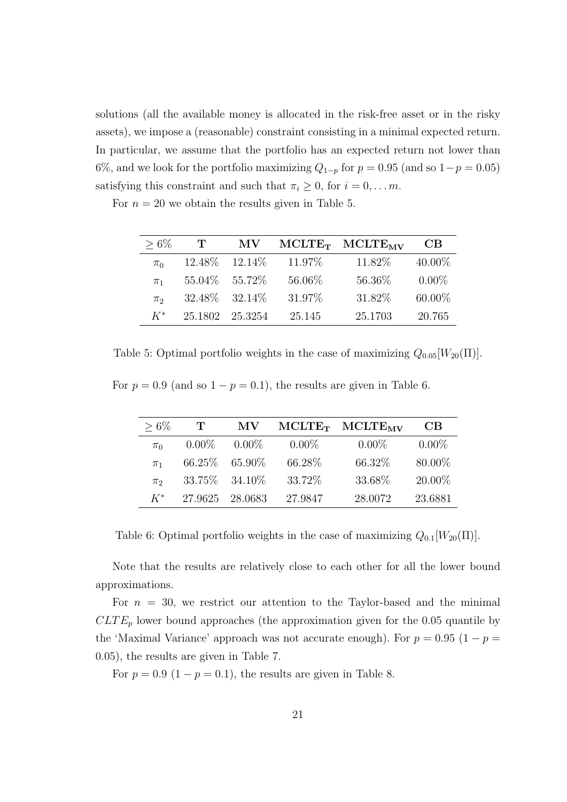solutions (all the available money is allocated in the risk-free asset or in the risky assets), we impose a (reasonable) constraint consisting in a minimal expected return. In particular, we assume that the portfolio has an expected return not lower than 6%, and we look for the portfolio maximizing  $Q_{1-p}$  for  $p = 0.95$  (and so  $1-p = 0.05$ ) satisfying this constraint and such that  $\pi_i \geq 0$ , for  $i = 0, \ldots m$ .

For  $n = 20$  we obtain the results given in Table 5.

| $> 6\%$ | $\mathbf{T}$ | MV.                 |         | $MCLTE_T$ $MCLTE_{MV}$ | CВ        |
|---------|--------------|---------------------|---------|------------------------|-----------|
| $\pi_0$ |              | $12.48\%$ $12.14\%$ | 11.97\% | 11.82%                 | $40.00\%$ |
| $\pi_1$ |              | 55.04\% 55.72\%     | 56.06%  | 56.36%                 | $0.00\%$  |
| $\pi_2$ |              | $32.48\%$ $32.14\%$ | 31.97%  | 31.82\%                | $60.00\%$ |
| $K^*$   | 25.1802      | 25.3254             | 25.145  | 25.1703                | 20.765    |

Table 5: Optimal portfolio weights in the case of maximizing  $Q_{0.05}[W_{20}(\Pi)]$ .

For  $p = 0.9$  (and so  $1 - p = 0.1$ ), the results are given in Table 6.

| $> 6\%$            | T        | MV              |          | MCLTE <sub>T</sub> MCLTE <sub>MV</sub> | CВ       |
|--------------------|----------|-----------------|----------|----------------------------------------|----------|
| $\pi_0$            | $0.00\%$ | $0.00\%$        | $0.00\%$ | $0.00\%$                               | $0.00\%$ |
| $\pi_1$            | 66.25\%  | $65.90\%$       | 66.28\%  | 66.32%                                 | 80.00%   |
| $\pi$ <sup>2</sup> |          | 33.75\% 34.10\% | 33.72%   | 33.68%                                 | 20.00%   |
| $K^*$              | 27.9625  | 28.0683         | 27.9847  | 28.0072                                | 23.6881  |

Table 6: Optimal portfolio weights in the case of maximizing  $Q_{0,1}[W_{20}(\Pi)]$ .

Note that the results are relatively close to each other for all the lower bound approximations.

For  $n = 30$ , we restrict our attention to the Taylor-based and the minimal  $CLTE_p$  lower bound approaches (the approximation given for the 0.05 quantile by the 'Maximal Variance' approach was not accurate enough). For  $p = 0.95$  (1 –  $p =$ 0.05), the results are given in Table 7.

For  $p = 0.9$  (1 –  $p = 0.1$ ), the results are given in Table 8.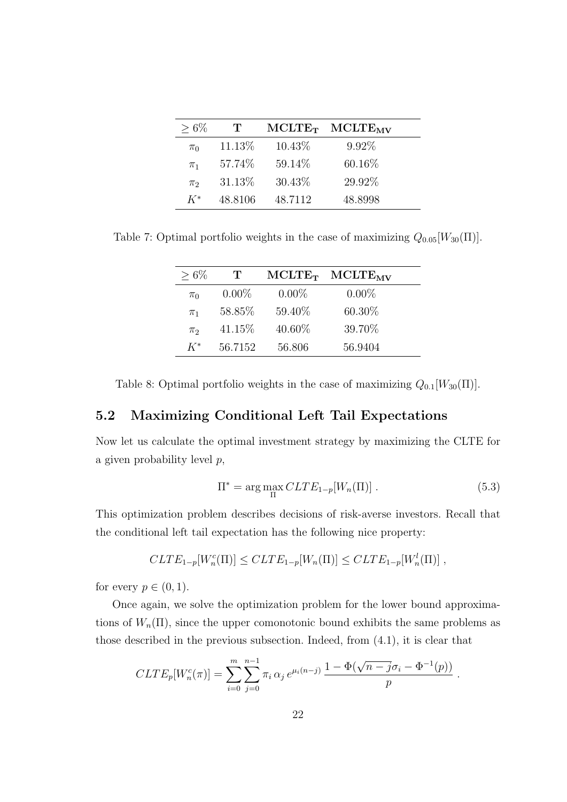| $> 6\%$ | $\mathbf{T}$ |         | $MCLTE_T$ $MCLTE_{MV}$ |  |
|---------|--------------|---------|------------------------|--|
| $\pi_0$ | 11.13\%      | 10.43\% | $9.92\%$               |  |
| $\pi_1$ | 57.74\%      | 59.14\% | 60.16\%                |  |
| $\pi_2$ | 31.13\%      | 30.43%  | 29.92%                 |  |
| $K^*$   | 48.8106      | 48.7112 | 48.8998                |  |

Table 7: Optimal portfolio weights in the case of maximizing  $Q_{0.05}[W_{30}(\Pi)].$ 

| $> 6\%$ | T        | $MCLTE_T$ | $\rm MCLTE_{\rm MV}$ |
|---------|----------|-----------|----------------------|
| $\pi_0$ | $0.00\%$ | $0.00\%$  | $0.00\%$             |
| $\pi_1$ | 58.85%   | 59.40%    | 60.30%               |
| $\pi$   | 41.15\%  | 40.60%    | 39.70%               |
| $K^*$   | 56.7152  | 56.806    | 56.9404              |

Table 8: Optimal portfolio weights in the case of maximizing  $Q_{0.1}[W_{30}(\Pi)].$ 

## 5.2 Maximizing Conditional Left Tail Expectations

Now let us calculate the optimal investment strategy by maximizing the CLTE for a given probability level p,

$$
\Pi^* = \arg\max_{\Pi} CLTE_{1-p}[W_n(\Pi)]. \tag{5.3}
$$

.

This optimization problem describes decisions of risk-averse investors. Recall that the conditional left tail expectation has the following nice property:

$$
CLTE_{1-p}[W_n^c(\Pi)] \leq CLTE_{1-p}[W_n(\Pi)] \leq CLTE_{1-p}[W_n^l(\Pi)] ,
$$

for every  $p \in (0,1)$ .

Once again, we solve the optimization problem for the lower bound approximations of  $W_n(\Pi)$ , since the upper comonotonic bound exhibits the same problems as those described in the previous subsection. Indeed, from (4.1), it is clear that

$$
CLTE_p[W_n^c(\pi)] = \sum_{i=0}^m \sum_{j=0}^{n-1} \pi_i \alpha_j e^{\mu_i(n-j)} \frac{1 - \Phi(\sqrt{n-j}\sigma_i - \Phi^{-1}(p))}{p}
$$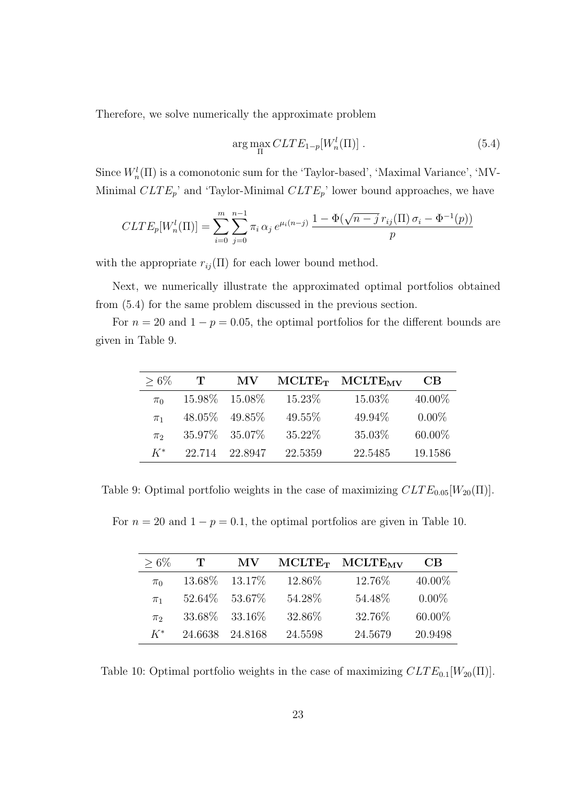Therefore, we solve numerically the approximate problem

$$
\arg\max_{\Pi} CLTE_{1-p}[W_n^l(\Pi)] . \tag{5.4}
$$

Since  $W_n^l(\Pi)$  is a comonotonic sum for the 'Taylor-based', 'Maximal Variance', 'MV-Minimal  $CLTE_p$ ' and 'Taylor-Minimal  $CLTE_p$ ' lower bound approaches, we have

$$
CLTE_p[W_n^l(\Pi)] = \sum_{i=0}^m \sum_{j=0}^{n-1} \pi_i \, \alpha_j \, e^{\mu_i(n-j)} \, \frac{1 - \Phi(\sqrt{n-j} \, r_{ij}(\Pi) \, \sigma_i - \Phi^{-1}(p))}{p}
$$

with the appropriate  $r_{ij}(\Pi)$  for each lower bound method.

Next, we numerically illustrate the approximated optimal portfolios obtained from (5.4) for the same problem discussed in the previous section.

For  $n = 20$  and  $1 - p = 0.05$ , the optimal portfolios for the different bounds are given in Table 9.

| $> 6\%$ |        | MV              |         | $MCLTE_T$ $MCLTE_{MV}$ | CВ       |
|---------|--------|-----------------|---------|------------------------|----------|
| $\pi_0$ |        | 15.98\% 15.08\% | 15.23%  | 15.03%                 | 40.00%   |
| $\pi_1$ |        | 48.05\% 49.85\% | 49.55%  | 49.94%                 | $0.00\%$ |
| $\pi$   |        | 35.97% 35.07%   | 35.22\% | 35.03%                 | 60.00%   |
| $K^*$   | 22.714 | 22.8947         | 22.5359 | 22.5485                | 19.1586  |

Table 9: Optimal portfolio weights in the case of maximizing  $CLTE_{0.05}[W_{20}(\Pi)].$ 

For  $n = 20$  and  $1 - p = 0.1$ , the optimal portfolios are given in Table 10.

| $> 6\%$            | T       | MV              |         | $MCLTE_T$ $MCLTE_{MV}$ | CB.      |
|--------------------|---------|-----------------|---------|------------------------|----------|
| $\pi_0$            | 13.68%  | 13.17\%         | 12.86%  | 12.76%                 | 40.00%   |
| $\pi_1$            |         | 52.64\% 53.67\% | 54.28%  | 54.48%                 | $0.00\%$ |
| $\pi$ <sub>2</sub> |         | 33.68\% 33.16\% | 32.86%  | 32.76%                 | 60.00%   |
| $K^*$              | 24.6638 | 24.8168         | 24.5598 | 24.5679                | 20.9498  |

Table 10: Optimal portfolio weights in the case of maximizing  $CLTE_{0.1}[W_{20}(\Pi)].$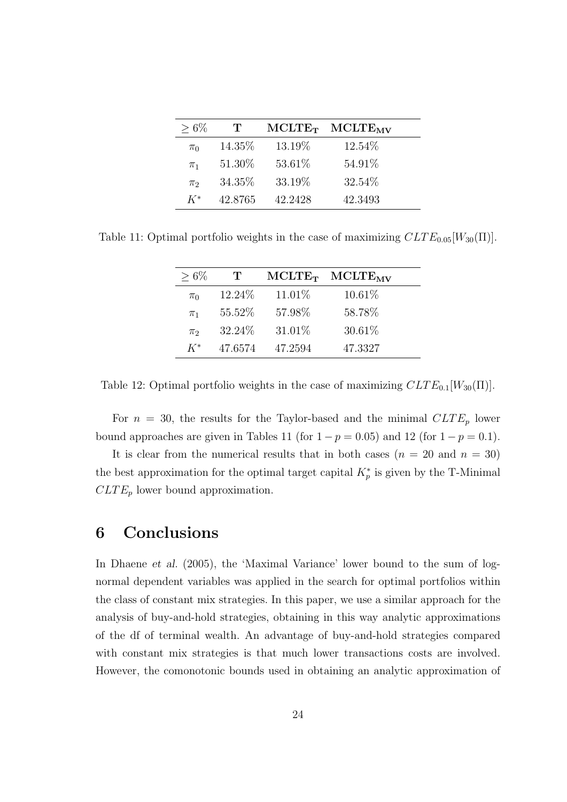| $>6\%$  | $\mathbf{T}$ |         | $MCLTE_T$ $MCLTE_{MV}$ |  |
|---------|--------------|---------|------------------------|--|
| $\pi_0$ | 14.35\%      | 13.19%  | 12.54%                 |  |
| $\pi_1$ | 51.30\%      | 53.61%  | 54.91\%                |  |
| $\pi_2$ | 34.35%       | 33.19%  | 32.54%                 |  |
| $K^*$   | 42.8765      | 42.2428 | 42.3493                |  |

Table 11: Optimal portfolio weights in the case of maximizing  $CLTE_{0.05}[W_{30}(\Pi)].$ 

| $>6\%$  | $\mathbf{T}$ | $MCLTE_T$ | $MCLTE_{MV}$ |
|---------|--------------|-----------|--------------|
| $\pi_0$ | 12.24\%      | 11.01\%   | 10.61\%      |
| $\pi_1$ | 55.52%       | 57.98%    | 58.78%       |
| $\pi_2$ | 32.24\%      | 31.01\%   | 30.61%       |
| $K^*$   | 47.6574      | 47.2594   | 47.3327      |

Table 12: Optimal portfolio weights in the case of maximizing  $CLTE_{0.1}[W_{30}(\Pi)].$ 

For  $n = 30$ , the results for the Taylor-based and the minimal  $CLTE_p$  lower bound approaches are given in Tables 11 (for  $1 - p = 0.05$ ) and 12 (for  $1 - p = 0.1$ ).

It is clear from the numerical results that in both cases  $(n = 20 \text{ and } n = 30)$ the best approximation for the optimal target capital  $K_p^*$  is given by the T-Minimal  $CLTE_p$  lower bound approximation.

## 6 Conclusions

In Dhaene et al. (2005), the 'Maximal Variance' lower bound to the sum of lognormal dependent variables was applied in the search for optimal portfolios within the class of constant mix strategies. In this paper, we use a similar approach for the analysis of buy-and-hold strategies, obtaining in this way analytic approximations of the df of terminal wealth. An advantage of buy-and-hold strategies compared with constant mix strategies is that much lower transactions costs are involved. However, the comonotonic bounds used in obtaining an analytic approximation of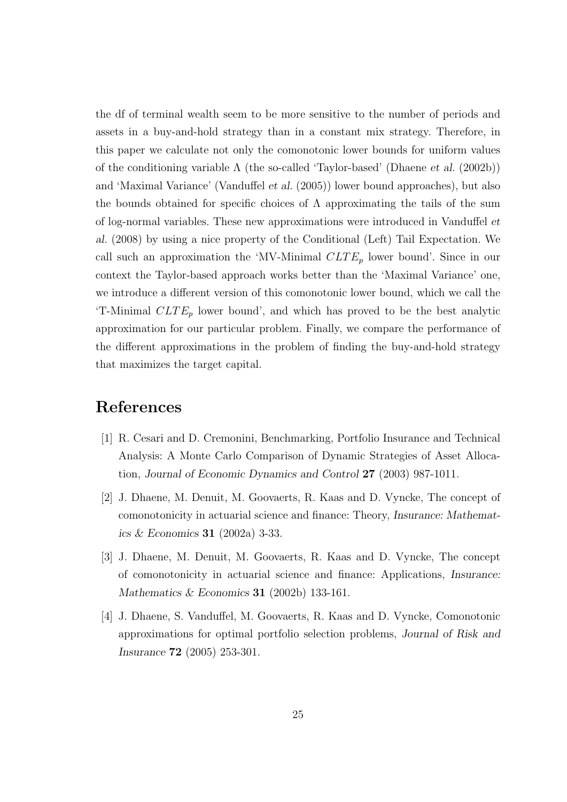the df of terminal wealth seem to be more sensitive to the number of periods and assets in a buy-and-hold strategy than in a constant mix strategy. Therefore, in this paper we calculate not only the comonotonic lower bounds for uniform values of the conditioning variable  $\Lambda$  (the so-called 'Taylor-based' (Dhaene *et al.* (2002b)) and 'Maximal Variance' (Vanduffel et al. (2005)) lower bound approaches), but also the bounds obtained for specific choices of  $\Lambda$  approximating the tails of the sum of log-normal variables. These new approximations were introduced in Vanduffel et al. (2008) by using a nice property of the Conditional (Left) Tail Expectation. We call such an approximation the 'MV-Minimal  $CLTE_p$  lower bound'. Since in our context the Taylor-based approach works better than the 'Maximal Variance' one, we introduce a different version of this comonotonic lower bound, which we call the 'T-Minimal  $CLTE_p$  lower bound', and which has proved to be the best analytic approximation for our particular problem. Finally, we compare the performance of the different approximations in the problem of finding the buy-and-hold strategy that maximizes the target capital.

## References

- [1] R. Cesari and D. Cremonini, Benchmarking, Portfolio Insurance and Technical Analysis: A Monte Carlo Comparison of Dynamic Strategies of Asset Allocation, Journal of Economic Dynamics and Control 27 (2003) 987-1011.
- [2] J. Dhaene, M. Denuit, M. Goovaerts, R. Kaas and D. Vyncke, The concept of comonotonicity in actuarial science and finance: Theory, Insurance: Mathematics & Economics 31 (2002a) 3-33.
- [3] J. Dhaene, M. Denuit, M. Goovaerts, R. Kaas and D. Vyncke, The concept of comonotonicity in actuarial science and finance: Applications, Insurance: Mathematics & Economics 31 (2002b) 133-161.
- [4] J. Dhaene, S. Vanduffel, M. Goovaerts, R. Kaas and D. Vyncke, Comonotonic approximations for optimal portfolio selection problems, Journal of Risk and Insurance 72 (2005) 253-301.